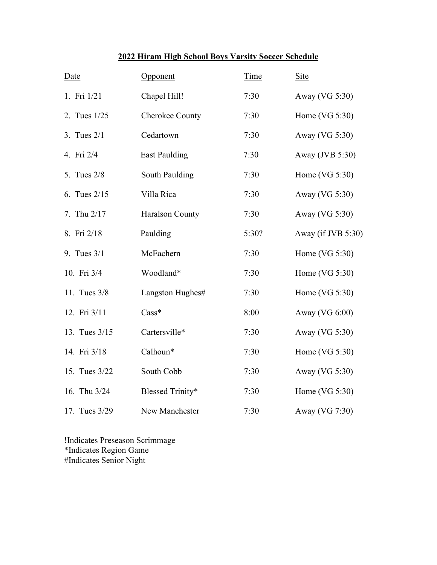## 2022 Hiram High School Boys Varsity Soccer Schedule

| Date          | Opponent             | Time  | <b>Site</b>        |
|---------------|----------------------|-------|--------------------|
| 1. Fri 1/21   | Chapel Hill!         | 7:30  | Away (VG 5:30)     |
| 2. Tues 1/25  | Cherokee County      | 7:30  | Home $(VG 5:30)$   |
| 3. Tues $2/1$ | Cedartown            | 7:30  | Away (VG 5:30)     |
| 4. Fri 2/4    | <b>East Paulding</b> | 7:30  | Away (JVB 5:30)    |
| 5. Tues 2/8   | South Paulding       | 7:30  | Home $(VG 5:30)$   |
| 6. Tues 2/15  | Villa Rica           | 7:30  | Away (VG 5:30)     |
| 7. Thu 2/17   | Haralson County      | 7:30  | Away (VG 5:30)     |
| 8. Fri 2/18   | Paulding             | 5:30? | Away (if JVB 5:30) |
| 9. Tues 3/1   | McEachern            | 7:30  | Home $(VG 5:30)$   |
| 10. Fri 3/4   | Woodland*            | 7:30  | Home $(VG 5:30)$   |
| 11. Tues 3/8  | Langston Hughes#     | 7:30  | Home $(VG 5:30)$   |
| 12. Fri 3/11  | $\text{Cass}^*$      | 8:00  | Away (VG 6:00)     |
| 13. Tues 3/15 | Cartersville*        | 7:30  | Away (VG 5:30)     |
| 14. Fri 3/18  | Calhoun*             | 7:30  | Home $(VG 5:30)$   |
| 15. Tues 3/22 | South Cobb           | 7:30  | Away (VG 5:30)     |
| 16. Thu 3/24  | Blessed Trinity*     | 7:30  | Home $(VG 5:30)$   |
| 17. Tues 3/29 | New Manchester       | 7:30  | Away (VG 7:30)     |

!Indicates Preseason Scrimmage \*Indicates Region Game #Indicates Senior Night